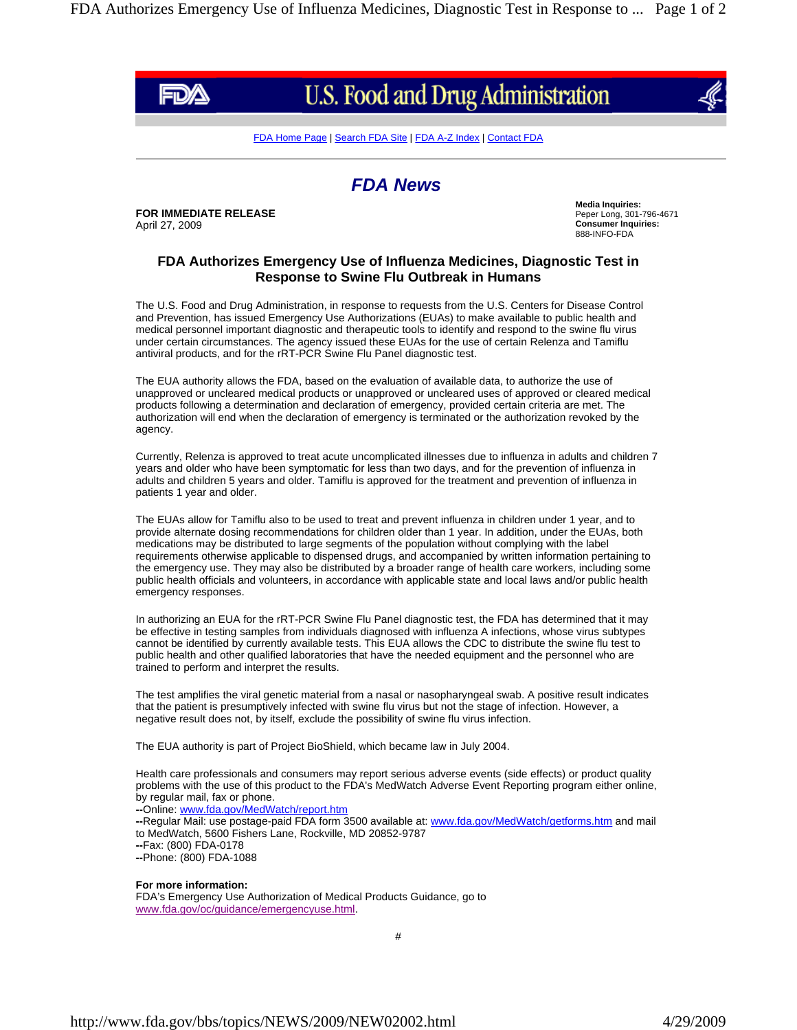

## U.S. Food and Drug Administration

FDA Home Page | Search FDA Site | FDA A-Z Index | Contact FDA

## *FDA News*

**FOR IMMEDIATE RELEASE** April 27, 2009

**Media Inquiries:** Peper Long, 301-796-4671 **Consumer Inquiries:** 888-INFO-FDA

## **FDA Authorizes Emergency Use of Influenza Medicines, Diagnostic Test in Response to Swine Flu Outbreak in Humans**

The U.S. Food and Drug Administration, in response to requests from the U.S. Centers for Disease Control and Prevention, has issued Emergency Use Authorizations (EUAs) to make available to public health and medical personnel important diagnostic and therapeutic tools to identify and respond to the swine flu virus under certain circumstances. The agency issued these EUAs for the use of certain Relenza and Tamiflu antiviral products, and for the rRT-PCR Swine Flu Panel diagnostic test.

The EUA authority allows the FDA, based on the evaluation of available data, to authorize the use of unapproved or uncleared medical products or unapproved or uncleared uses of approved or cleared medical products following a determination and declaration of emergency, provided certain criteria are met. The authorization will end when the declaration of emergency is terminated or the authorization revoked by the agency.

Currently, Relenza is approved to treat acute uncomplicated illnesses due to influenza in adults and children 7 years and older who have been symptomatic for less than two days, and for the prevention of influenza in adults and children 5 years and older. Tamiflu is approved for the treatment and prevention of influenza in patients 1 year and older.

The EUAs allow for Tamiflu also to be used to treat and prevent influenza in children under 1 year, and to provide alternate dosing recommendations for children older than 1 year. In addition, under the EUAs, both medications may be distributed to large segments of the population without complying with the label requirements otherwise applicable to dispensed drugs, and accompanied by written information pertaining to the emergency use. They may also be distributed by a broader range of health care workers, including some public health officials and volunteers, in accordance with applicable state and local laws and/or public health emergency responses.

In authorizing an EUA for the rRT-PCR Swine Flu Panel diagnostic test, the FDA has determined that it may be effective in testing samples from individuals diagnosed with influenza A infections, whose virus subtypes cannot be identified by currently available tests. This EUA allows the CDC to distribute the swine flu test to public health and other qualified laboratories that have the needed equipment and the personnel who are trained to perform and interpret the results.

The test amplifies the viral genetic material from a nasal or nasopharyngeal swab. A positive result indicates that the patient is presumptively infected with swine flu virus but not the stage of infection. However, a negative result does not, by itself, exclude the possibility of swine flu virus infection.

The EUA authority is part of Project BioShield, which became law in July 2004.

Health care professionals and consumers may report serious adverse events (side effects) or product quality problems with the use of this product to the FDA's MedWatch Adverse Event Reporting program either online, by regular mail, fax or phone. **--**Online: www.fda.gov/MedWatch/report.htm **--**Regular Mail: use postage-paid FDA form 3500 available at: www.fda.gov/MedWatch/getforms.htm and mail to MedWatch, 5600 Fishers Lane, Rockville, MD 20852-9787 **--**Fax: (800) FDA-0178 **--**Phone: (800) FDA-1088

## **For more information:**

FDA's Emergency Use Authorization of Medical Products Guidance, go to www.fda.gov/oc/guidance/emergencyuse.html.